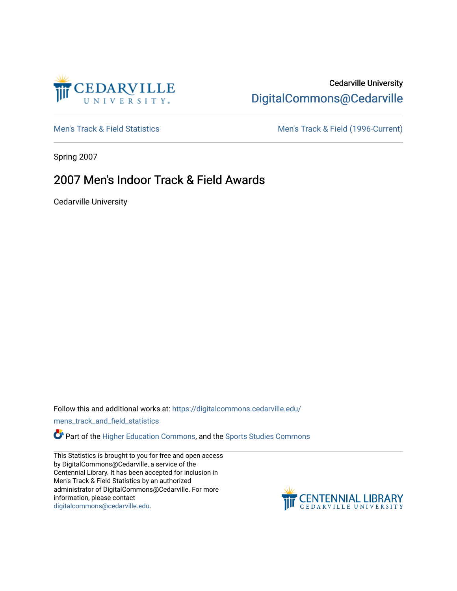

## Cedarville University [DigitalCommons@Cedarville](https://digitalcommons.cedarville.edu/)

[Men's Track & Field Statistics](https://digitalcommons.cedarville.edu/mens_track_and_field_statistics) [Men's Track & Field \(1996-Current\)](https://digitalcommons.cedarville.edu/mens_track_and_field) 

Spring 2007

## 2007 Men's Indoor Track & Field Awards

Cedarville University

Follow this and additional works at: [https://digitalcommons.cedarville.edu/](https://digitalcommons.cedarville.edu/mens_track_and_field_statistics?utm_source=digitalcommons.cedarville.edu%2Fmens_track_and_field_statistics%2F169&utm_medium=PDF&utm_campaign=PDFCoverPages)

[mens\\_track\\_and\\_field\\_statistics](https://digitalcommons.cedarville.edu/mens_track_and_field_statistics?utm_source=digitalcommons.cedarville.edu%2Fmens_track_and_field_statistics%2F169&utm_medium=PDF&utm_campaign=PDFCoverPages)

Part of the [Higher Education Commons,](http://network.bepress.com/hgg/discipline/1245?utm_source=digitalcommons.cedarville.edu%2Fmens_track_and_field_statistics%2F169&utm_medium=PDF&utm_campaign=PDFCoverPages) and the [Sports Studies Commons](http://network.bepress.com/hgg/discipline/1198?utm_source=digitalcommons.cedarville.edu%2Fmens_track_and_field_statistics%2F169&utm_medium=PDF&utm_campaign=PDFCoverPages) 

This Statistics is brought to you for free and open access by DigitalCommons@Cedarville, a service of the Centennial Library. It has been accepted for inclusion in Men's Track & Field Statistics by an authorized administrator of DigitalCommons@Cedarville. For more information, please contact [digitalcommons@cedarville.edu](mailto:digitalcommons@cedarville.edu).

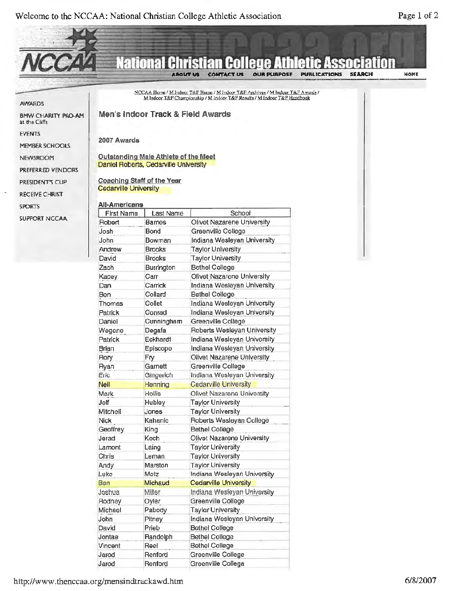

Bethel College Bethel College Bethel College Greenville College Greenville Collega

http://www.thenccaa.org/mensindtrackawd.htm

David Prieb Jontae Randolph Vincent Reel Jarod Renford Jarod Renford